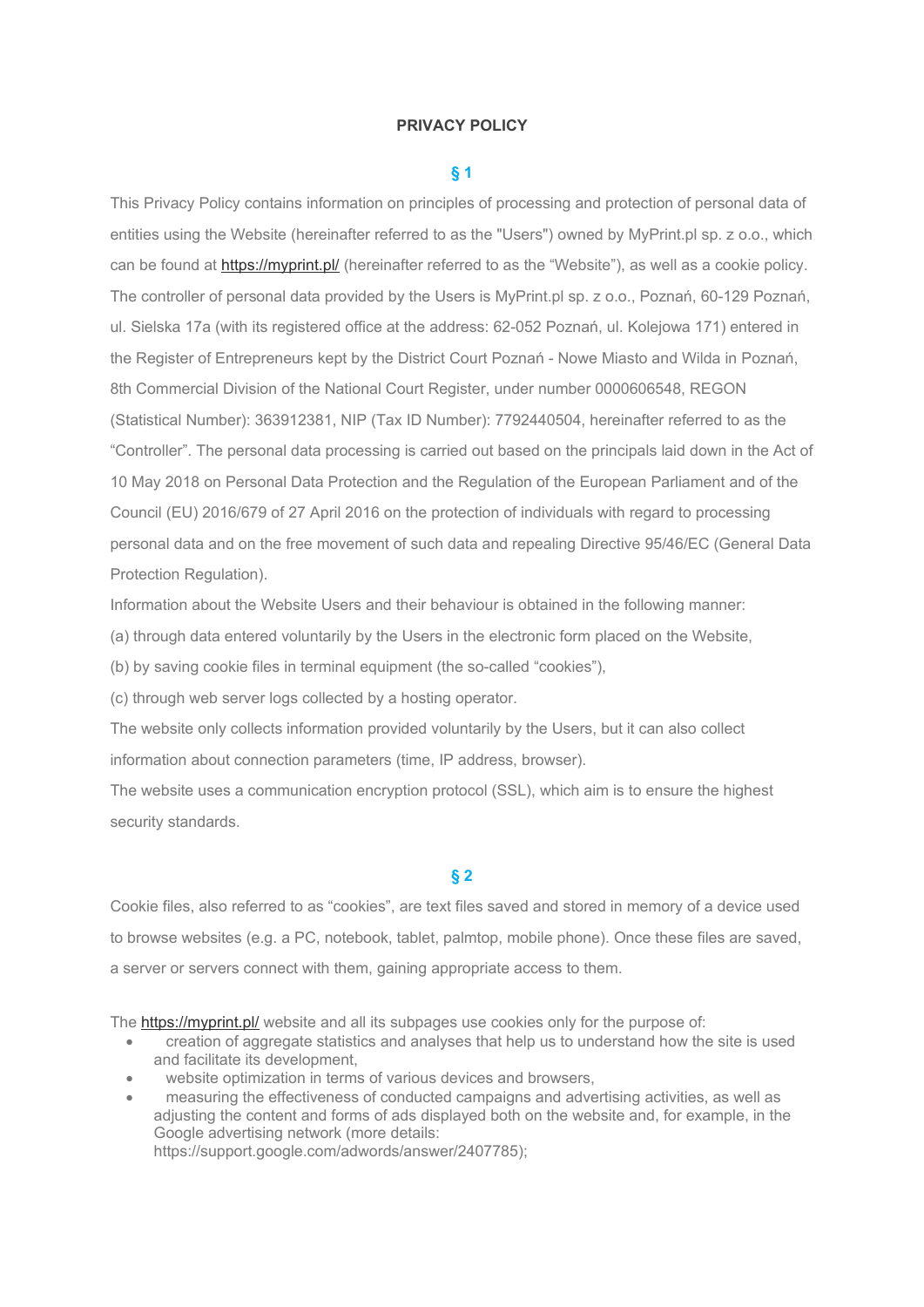### **PRIVACY POLICY**

### **§ 1**

This Privacy Policy contains information on principles of processing and protection of personal data of entities using the Website (hereinafter referred to as the "Users") owned by MyPrint.pl sp. z o.o., which can be found at <https://myprint.pl/> (hereinafter referred to as the "Website"), as well as a cookie policy. The controller of personal data provided by the Users is MyPrint.pl sp. z o.o., Poznań, 60-129 Poznań, ul. Sielska 17a (with its registered office at the address: 62-052 Poznań, ul. Kolejowa 171) entered in the Register of Entrepreneurs kept by the District Court Poznań - Nowe Miasto and Wilda in Poznań, 8th Commercial Division of the National Court Register, under number 0000606548, REGON (Statistical Number): 363912381, NIP (Tax ID Number): 7792440504, hereinafter referred to as the "Controller". The personal data processing is carried out based on the principals laid down in the Act of 10 May 2018 on Personal Data Protection and the Regulation of the European Parliament and of the Council (EU) 2016/679 of 27 April 2016 on the protection of individuals with regard to processing personal data and on the free movement of such data and repealing Directive 95/46/EC (General Data Protection Regulation).

Information about the Website Users and their behaviour is obtained in the following manner:

(a) through data entered voluntarily by the Users in the electronic form placed on the Website,

(b) by saving cookie files in terminal equipment (the so-called "cookies"),

(c) through web server logs collected by a hosting operator.

The website only collects information provided voluntarily by the Users, but it can also collect information about connection parameters (time, IP address, browser).

The website uses a communication encryption protocol (SSL), which aim is to ensure the highest security standards.

# **§ 2**

Cookie files, also referred to as "cookies", are text files saved and stored in memory of a device used to browse websites (e.g. a PC, notebook, tablet, palmtop, mobile phone). Once these files are saved, a server or servers connect with them, gaining appropriate access to them.

The <https://myprint.pl/> website and all its subpages use cookies only for the purpose of:

- creation of aggregate statistics and analyses that help us to understand how the site is used and facilitate its development,
- website optimization in terms of various devices and browsers,
- measuring the effectiveness of conducted campaigns and advertising activities, as well as adjusting the content and forms of ads displayed both on the website and, for example, in the Google advertising network (more details: https://support.google.com/adwords/answer/2407785);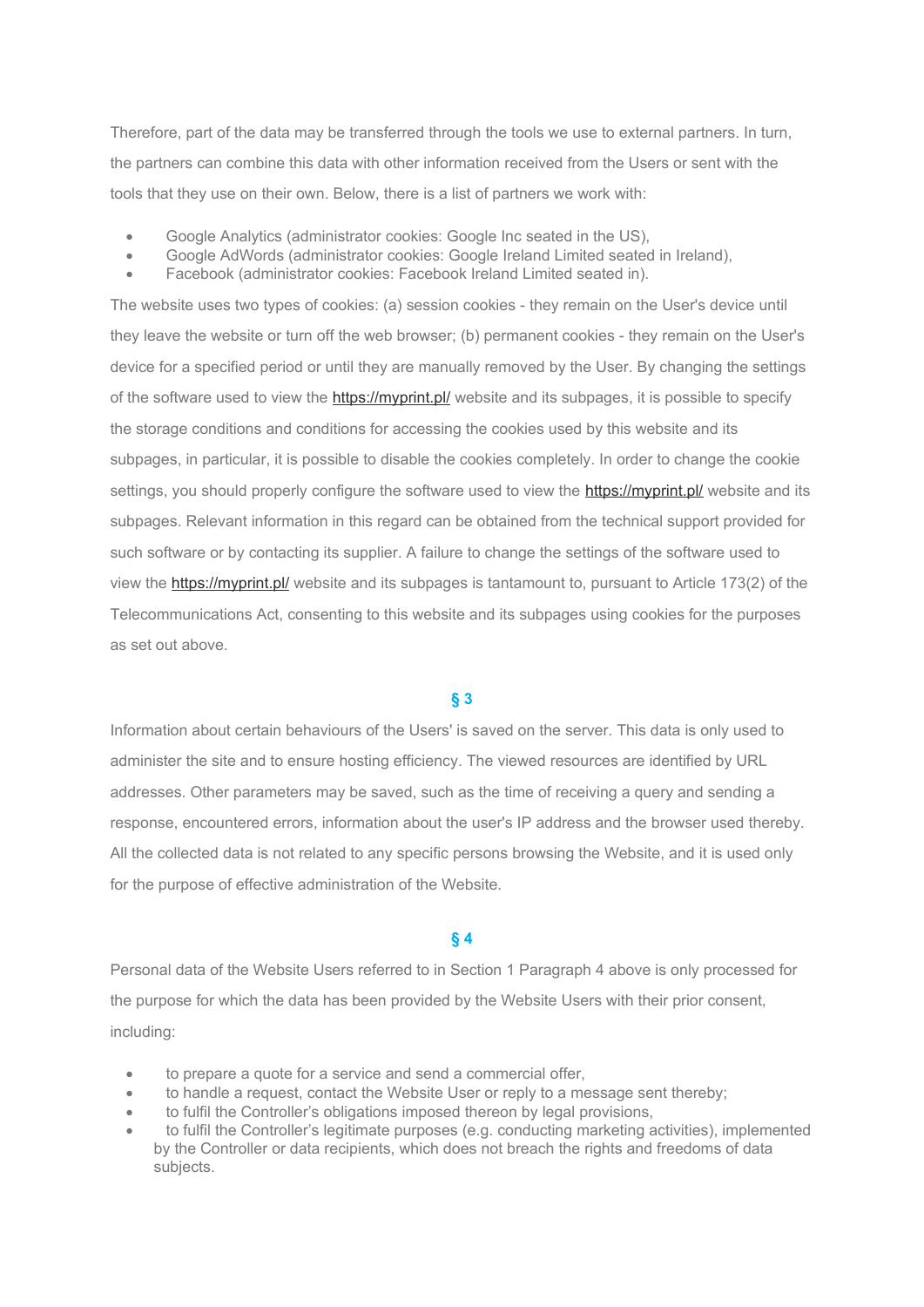Therefore, part of the data may be transferred through the tools we use to external partners. In turn, the partners can combine this data with other information received from the Users or sent with the tools that they use on their own. Below, there is a list of partners we work with:

- Google Analytics (administrator cookies: Google Inc seated in the US),
- Google AdWords (administrator cookies: Google Ireland Limited seated in Ireland),
- Facebook (administrator cookies: Facebook Ireland Limited seated in).

The website uses two types of cookies: (a) session cookies - they remain on the User's device until they leave the website or turn off the web browser; (b) permanent cookies - they remain on the User's device for a specified period or until they are manually removed by the User. By changing the settings of the software used to view the<https://myprint.pl/> website and its subpages, it is possible to specify the storage conditions and conditions for accessing the cookies used by this website and its subpages, in particular, it is possible to disable the cookies completely. In order to change the cookie settings, you should properly configure the software used to view the **<https://myprint.pl/>** website and its subpages. Relevant information in this regard can be obtained from the technical support provided for such software or by contacting its supplier. A failure to change the settings of the software used to view the <https://myprint.pl/> website and its subpages is tantamount to, pursuant to Article 173(2) of the Telecommunications Act, consenting to this website and its subpages using cookies for the purposes as set out above.

# **§ 3**

Information about certain behaviours of the Users' is saved on the server. This data is only used to administer the site and to ensure hosting efficiency. The viewed resources are identified by URL addresses. Other parameters may be saved, such as the time of receiving a query and sending a response, encountered errors, information about the user's IP address and the browser used thereby. All the collected data is not related to any specific persons browsing the Website, and it is used only for the purpose of effective administration of the Website.

### **§ 4**

Personal data of the Website Users referred to in Section 1 Paragraph 4 above is only processed for the purpose for which the data has been provided by the Website Users with their prior consent, including:

- to prepare a quote for a service and send a commercial offer,
- to handle a request, contact the Website User or reply to a message sent thereby;
- to fulfil the Controller's obligations imposed thereon by legal provisions,
- to fulfil the Controller's legitimate purposes (e.g. conducting marketing activities), implemented by the Controller or data recipients, which does not breach the rights and freedoms of data subjects.